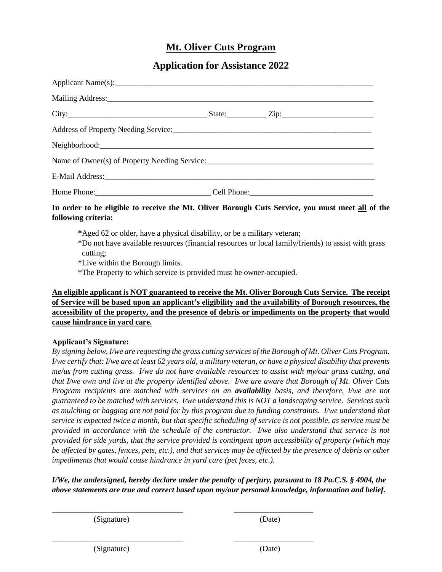## **Mt. Oliver Cuts Program**

## **Application for Assistance 2022**

| Name of Owner(s) of Property Needing Service: ___________________________________ |  |
|-----------------------------------------------------------------------------------|--|
|                                                                                   |  |
|                                                                                   |  |

### **In order to be eligible to receive the Mt. Oliver Borough Cuts Service, you must meet all of the following criteria:**

**\***Aged 62 or older, have a physical disability, or be a military veteran;

\*Do not have available resources (financial resources or local family/friends) to assist with grass cutting;

\*Live within the Borough limits.

\*The Property to which service is provided must be owner-occupied.

### **An eligible applicant is NOT guaranteed to receive the Mt. Oliver Borough Cuts Service. The receipt of Service will be based upon an applicant's eligibility and the availability of Borough resources, the accessibility of the property, and the presence of debris or impediments on the property that would cause hindrance in yard care.**

### **Applicant's Signature:**

*By signing below, I/we are requesting the grass cutting services of the Borough of Mt. Oliver Cuts Program. I/we certify that: I/we are at least 62 years old, a military veteran, or have a physical disability that prevents me/us from cutting grass. I/we do not have available resources to assist with my/our grass cutting, and that I/we own and live at the property identified above. I/we are aware that Borough of Mt. Oliver Cuts Program recipients are matched with services on an availability basis, and therefore, I/we are not guaranteed to be matched with services. I/we understand this is NOT a landscaping service. Services such as mulching or bagging are not paid for by this program due to funding constraints. I/we understand that service is expected twice a month, but that specific scheduling of service is not possible, as service must be provided in accordance with the schedule of the contractor. I/we also understand that service is not provided for side yards, that the service provided is contingent upon accessibility of property (which may be affected by gates, fences, pets, etc.), and that services may be affected by the presence of debris or other impediments that would cause hindrance in yard care (pet feces, etc.).*

### *I/We, the undersigned, hereby declare under the penalty of perjury, pursuant to 18 Pa.C.S. § 4904, the above statements are true and correct based upon my/our personal knowledge, information and belief.*

\_\_\_\_\_\_\_\_\_\_\_\_\_\_\_\_\_\_\_\_\_\_\_\_\_\_\_\_\_\_\_\_\_ \_\_\_\_\_\_\_\_\_\_\_\_\_\_\_\_\_\_\_\_

\_\_\_\_\_\_\_\_\_\_\_\_\_\_\_\_\_\_\_\_\_\_\_\_\_\_\_\_\_\_\_\_\_ \_\_\_\_\_\_\_\_\_\_\_\_\_\_\_\_\_\_\_\_

(Signature) (Date)

(Signature) (Date)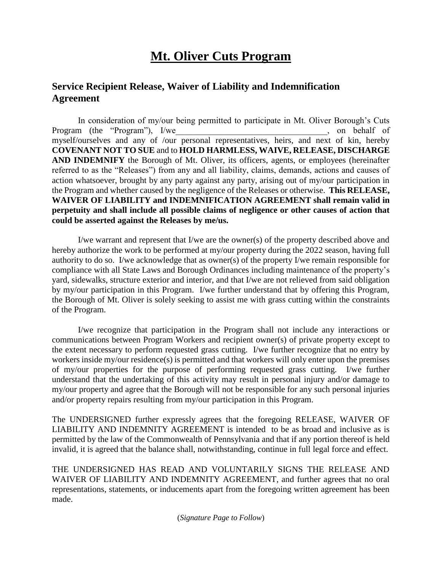# **Mt. Oliver Cuts Program**

# **Service Recipient Release, Waiver of Liability and Indemnification Agreement**

In consideration of my/our being permitted to participate in Mt. Oliver Borough's Cuts Program (the "Program"), I/we example of the set of the set of the set of the set of the set of the set of the set of the set of the set of the set of the set of the set of the set of the set of the set of the set of the s myself/ourselves and any of /our personal representatives, heirs, and next of kin, hereby **COVENANT NOT TO SUE** and to **HOLD HARMLESS, WAIVE, RELEASE, DISCHARGE AND INDEMNIFY** the Borough of Mt. Oliver, its officers, agents, or employees (hereinafter referred to as the "Releases") from any and all liability, claims, demands, actions and causes of action whatsoever, brought by any party against any party, arising out of my/our participation in the Program and whether caused by the negligence of the Releases or otherwise. **This RELEASE, WAIVER OF LIABILITY and INDEMNIFICATION AGREEMENT shall remain valid in perpetuity and shall include all possible claims of negligence or other causes of action that could be asserted against the Releases by me/us.**

I/we warrant and represent that I/we are the owner(s) of the property described above and hereby authorize the work to be performed at my/our property during the 2022 season, having full authority to do so. I/we acknowledge that as owner(s) of the property I/we remain responsible for compliance with all State Laws and Borough Ordinances including maintenance of the property's yard, sidewalks, structure exterior and interior, and that I/we are not relieved from said obligation by my/our participation in this Program. I/we further understand that by offering this Program, the Borough of Mt. Oliver is solely seeking to assist me with grass cutting within the constraints of the Program.

I/we recognize that participation in the Program shall not include any interactions or communications between Program Workers and recipient owner(s) of private property except to the extent necessary to perform requested grass cutting. I/we further recognize that no entry by workers inside my/our residence(s) is permitted and that workers will only enter upon the premises of my/our properties for the purpose of performing requested grass cutting. I/we further understand that the undertaking of this activity may result in personal injury and/or damage to my/our property and agree that the Borough will not be responsible for any such personal injuries and/or property repairs resulting from my/our participation in this Program.

The UNDERSIGNED further expressly agrees that the foregoing RELEASE, WAIVER OF LIABILITY AND INDEMNITY AGREEMENT is intended to be as broad and inclusive as is permitted by the law of the Commonwealth of Pennsylvania and that if any portion thereof is held invalid, it is agreed that the balance shall, notwithstanding, continue in full legal force and effect.

THE UNDERSIGNED HAS READ AND VOLUNTARILY SIGNS THE RELEASE AND WAIVER OF LIABILITY AND INDEMNITY AGREEMENT, and further agrees that no oral representations, statements, or inducements apart from the foregoing written agreement has been made.

(*Signature Page to Follow*)